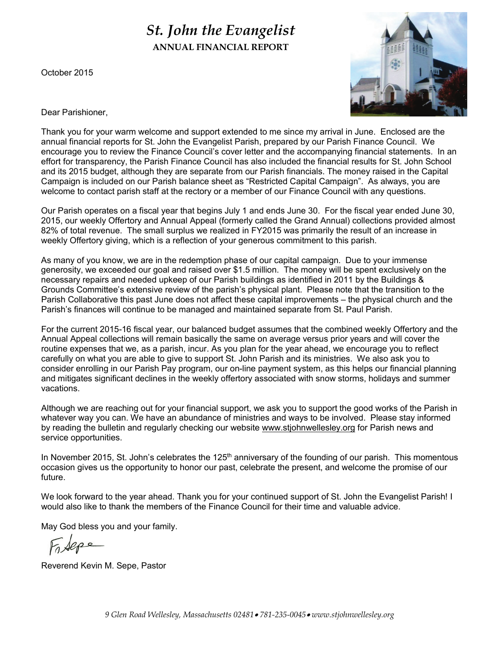# *St. John the Evangelist* **ANNUAL FINANCIAL REPORT**

October 2015



Dear Parishioner,

Thank you for your warm welcome and support extended to me since my arrival in June. Enclosed are the annual financial reports for St. John the Evangelist Parish, prepared by our Parish Finance Council. We encourage you to review the Finance Council's cover letter and the accompanying financial statements. In an effort for transparency, the Parish Finance Council has also included the financial results for St. John School and its 2015 budget, although they are separate from our Parish financials. The money raised in the Capital Campaign is included on our Parish balance sheet as "Restricted Capital Campaign". As always, you are welcome to contact parish staff at the rectory or a member of our Finance Council with any questions.

Our Parish operates on a fiscal year that begins July 1 and ends June 30. For the fiscal year ended June 30, 2015, our weekly Offertory and Annual Appeal (formerly called the Grand Annual) collections provided almost 82% of total revenue. The small surplus we realized in FY2015 was primarily the result of an increase in weekly Offertory giving, which is a reflection of your generous commitment to this parish.

As many of you know, we are in the redemption phase of our capital campaign. Due to your immense generosity, we exceeded our goal and raised over \$1.5 million. The money will be spent exclusively on the necessary repairs and needed upkeep of our Parish buildings as identified in 2011 by the Buildings & Grounds Committee's extensive review of the parish's physical plant. Please note that the transition to the Parish Collaborative this past June does not affect these capital improvements – the physical church and the Parish's finances will continue to be managed and maintained separate from St. Paul Parish.

For the current 2015-16 fiscal year, our balanced budget assumes that the combined weekly Offertory and the Annual Appeal collections will remain basically the same on average versus prior years and will cover the routine expenses that we, as a parish, incur. As you plan for the year ahead, we encourage you to reflect carefully on what you are able to give to support St. John Parish and its ministries. We also ask you to consider enrolling in our Parish Pay program, our on-line payment system, as this helps our financial planning and mitigates significant declines in the weekly offertory associated with snow storms, holidays and summer vacations.

Although we are reaching out for your financial support, we ask you to support the good works of the Parish in whatever way you can. We have an abundance of ministries and ways to be involved. Please stay informed by reading the bulletin and regularly checking our website www.stjohnwellesley.org for Parish news and service opportunities.

In November 2015, St. John's celebrates the 125<sup>th</sup> anniversary of the founding of our parish. This momentous occasion gives us the opportunity to honor our past, celebrate the present, and welcome the promise of our future.

We look forward to the year ahead. Thank you for your continued support of St. John the Evangelist Parish! I would also like to thank the members of the Finance Council for their time and valuable advice.

May God bless you and your family.

Sepe

Reverend Kevin M. Sepe, Pastor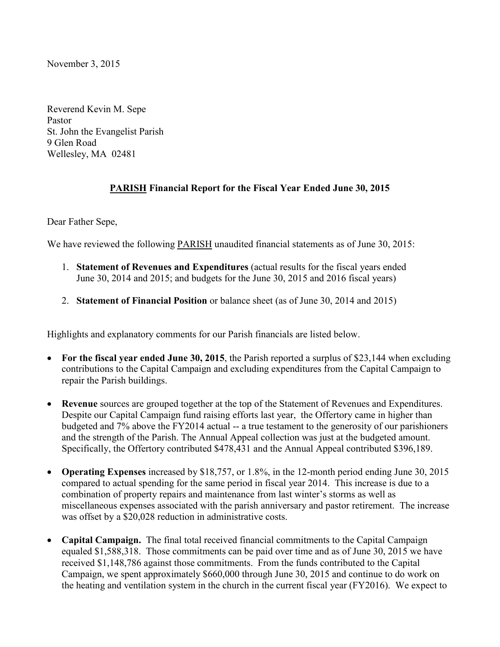November 3, 2015

Reverend Kevin M. Sepe Pastor St. John the Evangelist Parish 9 Glen Road Wellesley, MA 02481

### **PARISH Financial Report for the Fiscal Year Ended June 30, 2015**

Dear Father Sepe,

We have reviewed the following **PARISH** unaudited financial statements as of June 30, 2015:

- 1. **Statement of Revenues and Expenditures** (actual results for the fiscal years ended June 30, 2014 and 2015; and budgets for the June 30, 2015 and 2016 fiscal years)
- 2. **Statement of Financial Position** or balance sheet (as of June 30, 2014 and 2015)

Highlights and explanatory comments for our Parish financials are listed below.

- **For the fiscal year ended June 30, 2015**, the Parish reported a surplus of \$23,144 when excluding contributions to the Capital Campaign and excluding expenditures from the Capital Campaign to repair the Parish buildings.
- **Revenue** sources are grouped together at the top of the Statement of Revenues and Expenditures. Despite our Capital Campaign fund raising efforts last year, the Offertory came in higher than budgeted and 7% above the FY2014 actual -- a true testament to the generosity of our parishioners and the strength of the Parish. The Annual Appeal collection was just at the budgeted amount. Specifically, the Offertory contributed \$478,431 and the Annual Appeal contributed \$396,189.
- **Operating Expenses** increased by \$18,757, or 1.8%, in the 12-month period ending June 30, 2015 compared to actual spending for the same period in fiscal year 2014. This increase is due to a combination of property repairs and maintenance from last winter's storms as well as miscellaneous expenses associated with the parish anniversary and pastor retirement. The increase was offset by a \$20,028 reduction in administrative costs.
- **Capital Campaign.** The final total received financial commitments to the Capital Campaign equaled \$1,588,318. Those commitments can be paid over time and as of June 30, 2015 we have received \$1,148,786 against those commitments. From the funds contributed to the Capital Campaign, we spent approximately \$660,000 through June 30, 2015 and continue to do work on the heating and ventilation system in the church in the current fiscal year (FY2016). We expect to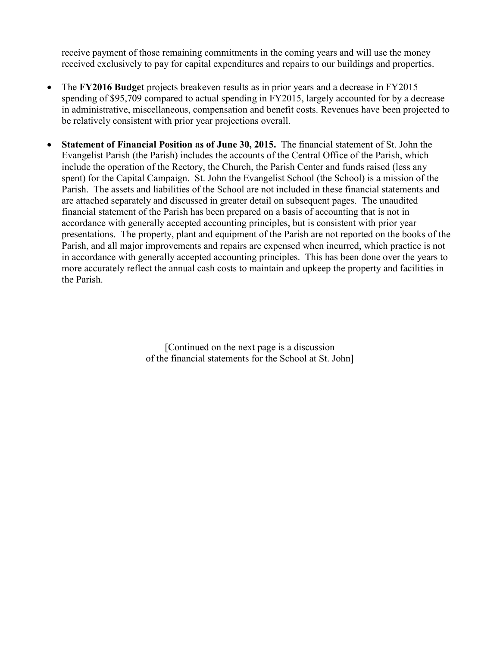receive payment of those remaining commitments in the coming years and will use the money received exclusively to pay for capital expenditures and repairs to our buildings and properties.

- The **FY2016 Budget** projects breakeven results as in prior years and a decrease in FY2015 spending of \$95,709 compared to actual spending in FY2015, largely accounted for by a decrease in administrative, miscellaneous, compensation and benefit costs. Revenues have been projected to be relatively consistent with prior year projections overall.
- **Statement of Financial Position as of June 30, 2015.** The financial statement of St. John the Evangelist Parish (the Parish) includes the accounts of the Central Office of the Parish, which include the operation of the Rectory, the Church, the Parish Center and funds raised (less any spent) for the Capital Campaign. St. John the Evangelist School (the School) is a mission of the Parish. The assets and liabilities of the School are not included in these financial statements and are attached separately and discussed in greater detail on subsequent pages. The unaudited financial statement of the Parish has been prepared on a basis of accounting that is not in accordance with generally accepted accounting principles, but is consistent with prior year presentations. The property, plant and equipment of the Parish are not reported on the books of the Parish, and all major improvements and repairs are expensed when incurred, which practice is not in accordance with generally accepted accounting principles. This has been done over the years to more accurately reflect the annual cash costs to maintain and upkeep the property and facilities in the Parish.

[Continued on the next page is a discussion of the financial statements for the School at St. John]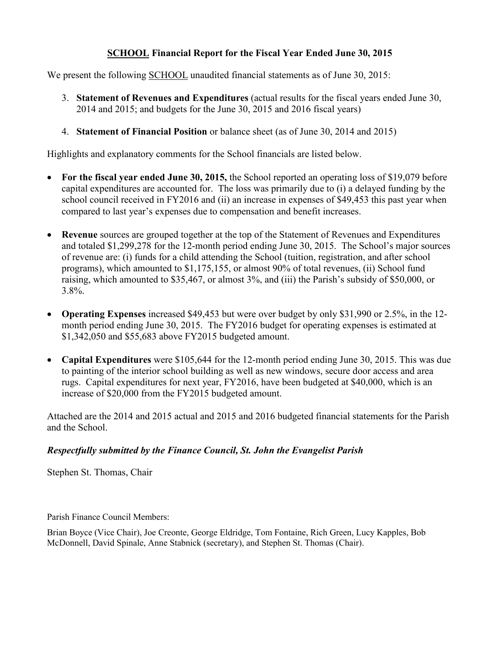### **SCHOOL Financial Report for the Fiscal Year Ended June 30, 2015**

We present the following SCHOOL unaudited financial statements as of June 30, 2015:

- 3. **Statement of Revenues and Expenditures** (actual results for the fiscal years ended June 30, 2014 and 2015; and budgets for the June 30, 2015 and 2016 fiscal years)
- 4. **Statement of Financial Position** or balance sheet (as of June 30, 2014 and 2015)

Highlights and explanatory comments for the School financials are listed below.

- **For the fiscal year ended June 30, 2015,** the School reported an operating loss of \$19,079 before capital expenditures are accounted for. The loss was primarily due to (i) a delayed funding by the school council received in FY2016 and (ii) an increase in expenses of \$49,453 this past year when compared to last year's expenses due to compensation and benefit increases.
- **Revenue** sources are grouped together at the top of the Statement of Revenues and Expenditures and totaled \$1,299,278 for the 12-month period ending June 30, 2015. The School's major sources of revenue are: (i) funds for a child attending the School (tuition, registration, and after school programs), which amounted to \$1,175,155, or almost 90% of total revenues, (ii) School fund raising, which amounted to \$35,467, or almost 3%, and (iii) the Parish's subsidy of \$50,000, or 3.8%.
- **Operating Expenses** increased \$49,453 but were over budget by only \$31,990 or 2.5%, in the 12 month period ending June 30, 2015. The FY2016 budget for operating expenses is estimated at \$1,342,050 and \$55,683 above FY2015 budgeted amount.
- **Capital Expenditures** were \$105,644 for the 12-month period ending June 30, 2015. This was due to painting of the interior school building as well as new windows, secure door access and area rugs. Capital expenditures for next year, FY2016, have been budgeted at \$40,000, which is an increase of \$20,000 from the FY2015 budgeted amount.

Attached are the 2014 and 2015 actual and 2015 and 2016 budgeted financial statements for the Parish and the School.

## *Respectfully submitted by the Finance Council, St. John the Evangelist Parish*

Stephen St. Thomas, Chair

Parish Finance Council Members:

Brian Boyce (Vice Chair), Joe Creonte, George Eldridge, Tom Fontaine, Rich Green, Lucy Kapples, Bob McDonnell, David Spinale, Anne Stabnick (secretary), and Stephen St. Thomas (Chair).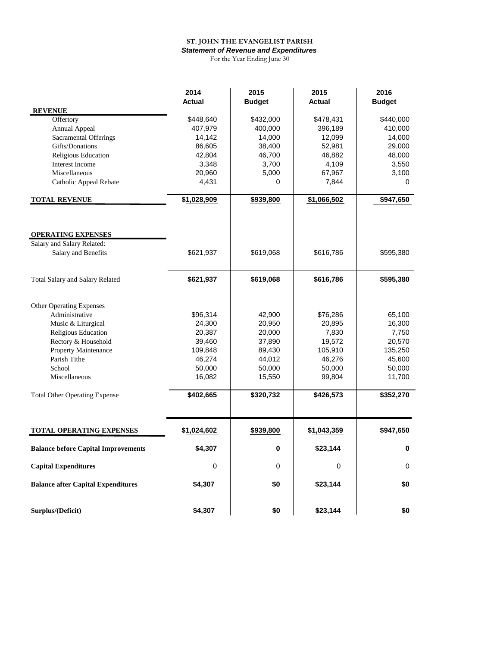#### **ST. JOHN THE EVANGELIST PARISH** *Statement of Revenue and Expenditures*

For the Year Ending June 30

|                                            | 2014        | 2015          | 2015          | 2016          |
|--------------------------------------------|-------------|---------------|---------------|---------------|
|                                            | Actual      | <b>Budget</b> | <b>Actual</b> | <b>Budget</b> |
| <b>REVENUE</b>                             | \$448,640   | \$432,000     | \$478,431     | \$440,000     |
| Offertory<br>Annual Appeal                 | 407,979     | 400,000       | 396,189       | 410,000       |
| Sacramental Offerings                      | 14,142      | 14,000        | 12,099        | 14,000        |
| Gifts/Donations                            | 86,605      | 38,400        | 52,981        | 29,000        |
| Religious Education                        | 42,804      | 46,700        | 46,882        | 48,000        |
| Interest Income                            | 3,348       | 3,700         | 4,109         | 3,550         |
| Miscellaneous                              | 20,960      | 5,000         | 67,967        | 3,100         |
| Catholic Appeal Rebate                     | 4,431       | 0             | 7,844         | 0             |
|                                            |             |               |               |               |
| <b>TOTAL REVENUE</b>                       | \$1,028,909 | \$939,800     | \$1,066,502   | \$947,650     |
|                                            |             |               |               |               |
| <b>OPERATING EXPENSES</b>                  |             |               |               |               |
| Salary and Salary Related:                 |             |               |               |               |
| Salary and Benefits                        | \$621,937   | \$619,068     | \$616,786     | \$595,380     |
| <b>Total Salary and Salary Related</b>     | \$621,937   | \$619,068     | \$616,786     | \$595,380     |
| <b>Other Operating Expenses</b>            |             |               |               |               |
| Administrative                             | \$96,314    | 42,900        | \$76,286      | 65,100        |
| Music & Liturgical                         | 24,300      | 20,950        | 20,895        | 16,300        |
| Religious Education                        | 20,387      | 20,000        | 7,830         | 7,750         |
| Rectory & Household                        | 39,460      | 37,890        | 19,572        | 20,570        |
| Property Maintenance                       | 109,848     | 89,430        | 105,910       | 135,250       |
| Parish Tithe                               | 46,274      | 44,012        | 46,276        | 45,600        |
| School                                     | 50,000      | 50,000        | 50,000        | 50,000        |
| Miscellaneous                              | 16,082      | 15,550        | 99,804        | 11,700        |
| <b>Total Other Operating Expense</b>       | \$402,665   | \$320,732     | \$426,573     | \$352,270     |
|                                            |             |               |               |               |
| TOTAL OPERATING EXPENSES                   | \$1,024,602 | \$939,800     | \$1,043,359   | \$947,650     |
|                                            |             |               |               |               |
| <b>Balance before Capital Improvements</b> | \$4,307     | 0             | \$23,144      | 0             |
| <b>Capital Expenditures</b>                | 0           | 0             | 0             | 0             |
| <b>Balance after Capital Expenditures</b>  | \$4,307     | \$0           | \$23,144      | \$0           |
| Surplus/(Deficit)                          | \$4,307     | \$0           | \$23,144      | \$0           |
|                                            |             |               |               |               |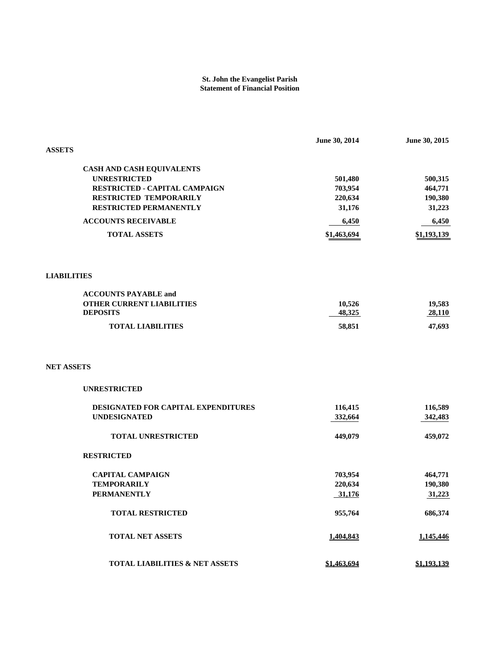#### **St. John the Evangelist Parish Statement of Financial Position**

|                                                             | June 30, 2014      | June 30, 2015      |
|-------------------------------------------------------------|--------------------|--------------------|
| <b>ASSETS</b>                                               |                    |                    |
|                                                             |                    |                    |
| <b>CASH AND CASH EQUIVALENTS</b>                            |                    |                    |
| <b>UNRESTRICTED</b><br><b>RESTRICTED - CAPITAL CAMPAIGN</b> | 501,480            | 500,315            |
| RESTRICTED TEMPORARILY                                      | 703,954<br>220,634 | 464,771<br>190,380 |
| RESTRICTED PERMANENTLY                                      | 31,176             | 31,223             |
| <b>ACCOUNTS RECEIVABLE</b>                                  | 6,450              | 6,450              |
|                                                             |                    |                    |
| <b>TOTAL ASSETS</b>                                         | \$1,463,694        | \$1,193,139        |
| <b>LIABILITIES</b>                                          |                    |                    |
| <b>ACCOUNTS PAYABLE and</b>                                 |                    |                    |
| <b>OTHER CURRENT LIABILITIES</b>                            | 10,526             | 19,583             |
| <b>DEPOSITS</b>                                             | 48,325             | 28,110             |
| <b>TOTAL LIABILITIES</b>                                    | 58,851             | 47,693             |
| <b>NET ASSETS</b>                                           |                    |                    |
| <b>UNRESTRICTED</b>                                         |                    |                    |
| DESIGNATED FOR CAPITAL EXPENDITURES                         | 116,415            | 116,589            |
| <b>UNDESIGNATED</b>                                         | 332,664            | 342,483            |
| <b>TOTAL UNRESTRICTED</b>                                   | 449,079            | 459,072            |
| <b>RESTRICTED</b>                                           |                    |                    |
| <b>CAPITAL CAMPAIGN</b>                                     | 703,954            | 464,771            |
| <b>TEMPORARILY</b>                                          | 220,634            | 190,380            |
| <b>PERMANENTLY</b>                                          | 31,176             | 31,223             |
| <b>TOTAL RESTRICTED</b>                                     | 955,764            | 686,374            |
| <b>TOTAL NET ASSETS</b>                                     | 1,404,843          | 1,145,446          |
| <b>TOTAL LIABILITIES &amp; NET ASSETS</b>                   | \$1,463,694        | \$1,193,139        |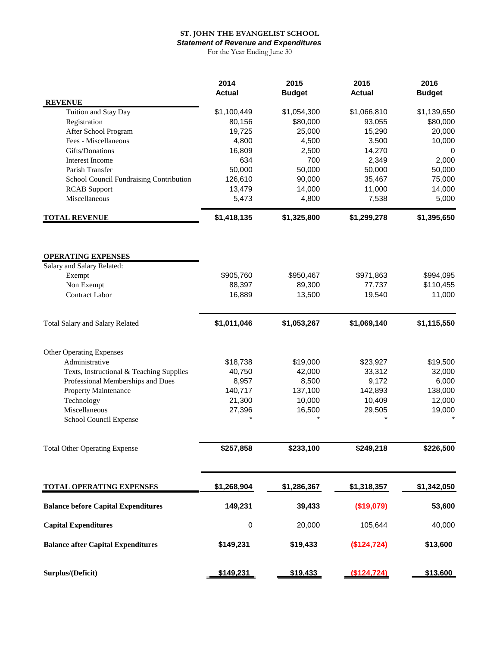### **ST. JOHN THE EVANGELIST SCHOOL**

*Statement of Revenue and Expenditures* For the Year Ending June 30

|                                            | 2014<br><b>Actual</b> | 2015<br><b>Budget</b> | 2015<br><b>Actual</b> | 2016<br><b>Budget</b> |
|--------------------------------------------|-----------------------|-----------------------|-----------------------|-----------------------|
| <b>REVENUE</b>                             |                       |                       |                       |                       |
| Tuition and Stay Day                       | \$1,100,449<br>80,156 | \$1,054,300           | \$1,066,810           | \$1,139,650           |
| Registration<br>After School Program       | 19,725                | \$80,000<br>25,000    | 93,055<br>15,290      | \$80,000<br>20,000    |
| Fees - Miscellaneous                       | 4,800                 | 4,500                 | 3,500                 | 10,000                |
| Gifts/Donations                            | 16,809                | 2,500                 | 14,270                | 0                     |
| <b>Interest Income</b>                     | 634                   | 700                   | 2,349                 | 2,000                 |
| Parish Transfer                            | 50,000                | 50,000                | 50,000                | 50,000                |
| School Council Fundraising Contribution    | 126,610               | 90,000                | 35,467                | 75,000                |
| <b>RCAB</b> Support                        | 13,479                | 14,000                | 11,000                | 14,000                |
| Miscellaneous                              | 5,473                 | 4,800                 | 7,538                 | 5,000                 |
| <b>TOTAL REVENUE</b>                       | \$1,418,135           | \$1,325,800           | \$1,299,278           | \$1,395,650           |
|                                            |                       |                       |                       |                       |
| <b>OPERATING EXPENSES</b>                  |                       |                       |                       |                       |
| Salary and Salary Related:                 |                       | \$950,467             |                       | \$994,095             |
| Exempt<br>Non Exempt                       | \$905,760<br>88,397   | 89,300                | \$971,863<br>77,737   | \$110,455             |
| <b>Contract Labor</b>                      | 16,889                | 13,500                | 19,540                | 11,000                |
|                                            |                       |                       |                       |                       |
| Total Salary and Salary Related            | \$1,011,046           | \$1,053,267           | \$1,069,140           | \$1,115,550           |
| Other Operating Expenses                   |                       |                       |                       |                       |
| Administrative                             | \$18,738              | \$19,000              | \$23,927              | \$19,500              |
| Texts, Instructional & Teaching Supplies   | 40,750                | 42,000                | 33,312                | 32,000                |
| Professional Memberships and Dues          | 8,957                 | 8,500                 | 9,172                 | 6,000                 |
| Property Maintenance                       | 140,717               | 137,100               | 142,893               | 138,000               |
| Technology                                 | 21,300                | 10,000                | 10,409                | 12,000                |
| Miscellaneous                              | 27,396                | 16,500                | 29,505                | 19,000                |
| School Council Expense                     |                       |                       |                       |                       |
| <b>Total Other Operating Expense</b>       | \$257,858             | \$233,100             | \$249,218             | \$226,500             |
| TOTAL OPERATING EXPENSES                   | \$1,268,904           | \$1,286,367           | \$1,318,357           | \$1,342,050           |
| <b>Balance before Capital Expenditures</b> | 149,231               | 39,433                | (\$19,079)            | 53,600                |
| <b>Capital Expenditures</b>                | $\boldsymbol{0}$      | 20,000                | 105,644               | 40,000                |
|                                            |                       |                       |                       |                       |
| <b>Balance after Capital Expenditures</b>  | \$149,231             | \$19,433              | (\$124,724)           | \$13,600              |
| Surplus/(Deficit)                          | \$149,231             | \$19,433              | (\$124, 724)          | \$13,600              |